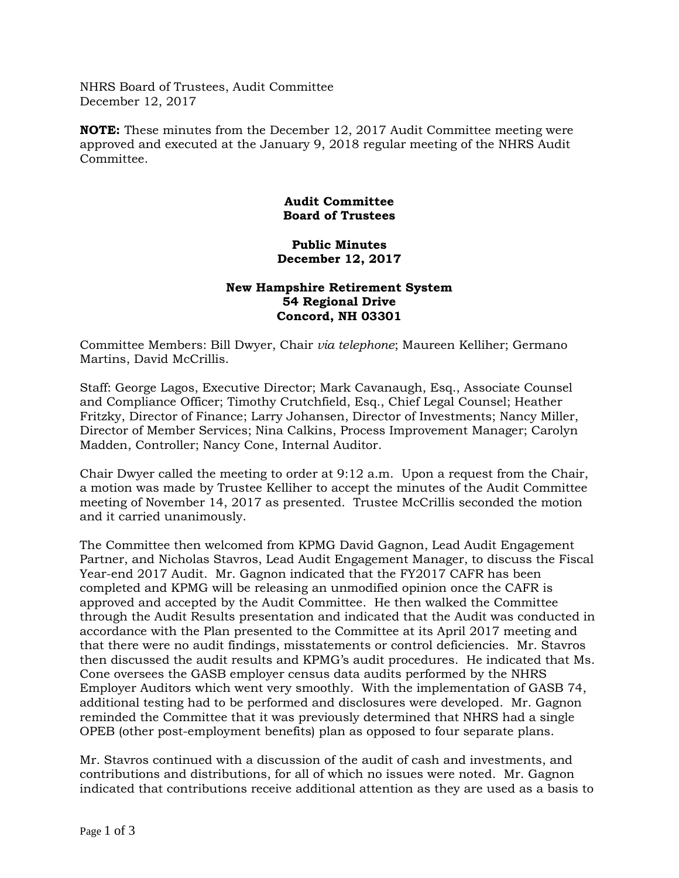NHRS Board of Trustees, Audit Committee December 12, 2017

**NOTE:** These minutes from the December 12, 2017 Audit Committee meeting were approved and executed at the January 9, 2018 regular meeting of the NHRS Audit Committee.

## **Audit Committee Board of Trustees**

## **Public Minutes December 12, 2017**

## **New Hampshire Retirement System 54 Regional Drive Concord, NH 03301**

Committee Members: Bill Dwyer, Chair *via telephone*; Maureen Kelliher; Germano Martins, David McCrillis.

Staff: George Lagos, Executive Director; Mark Cavanaugh, Esq., Associate Counsel and Compliance Officer; Timothy Crutchfield, Esq., Chief Legal Counsel; Heather Fritzky, Director of Finance; Larry Johansen, Director of Investments; Nancy Miller, Director of Member Services; Nina Calkins, Process Improvement Manager; Carolyn Madden, Controller; Nancy Cone, Internal Auditor.

Chair Dwyer called the meeting to order at 9:12 a.m. Upon a request from the Chair, a motion was made by Trustee Kelliher to accept the minutes of the Audit Committee meeting of November 14, 2017 as presented. Trustee McCrillis seconded the motion and it carried unanimously.

The Committee then welcomed from KPMG David Gagnon, Lead Audit Engagement Partner, and Nicholas Stavros, Lead Audit Engagement Manager, to discuss the Fiscal Year-end 2017 Audit. Mr. Gagnon indicated that the FY2017 CAFR has been completed and KPMG will be releasing an unmodified opinion once the CAFR is approved and accepted by the Audit Committee. He then walked the Committee through the Audit Results presentation and indicated that the Audit was conducted in accordance with the Plan presented to the Committee at its April 2017 meeting and that there were no audit findings, misstatements or control deficiencies. Mr. Stavros then discussed the audit results and KPMG's audit procedures. He indicated that Ms. Cone oversees the GASB employer census data audits performed by the NHRS Employer Auditors which went very smoothly. With the implementation of GASB 74, additional testing had to be performed and disclosures were developed. Mr. Gagnon reminded the Committee that it was previously determined that NHRS had a single OPEB (other post-employment benefits) plan as opposed to four separate plans.

Mr. Stavros continued with a discussion of the audit of cash and investments, and contributions and distributions, for all of which no issues were noted. Mr. Gagnon indicated that contributions receive additional attention as they are used as a basis to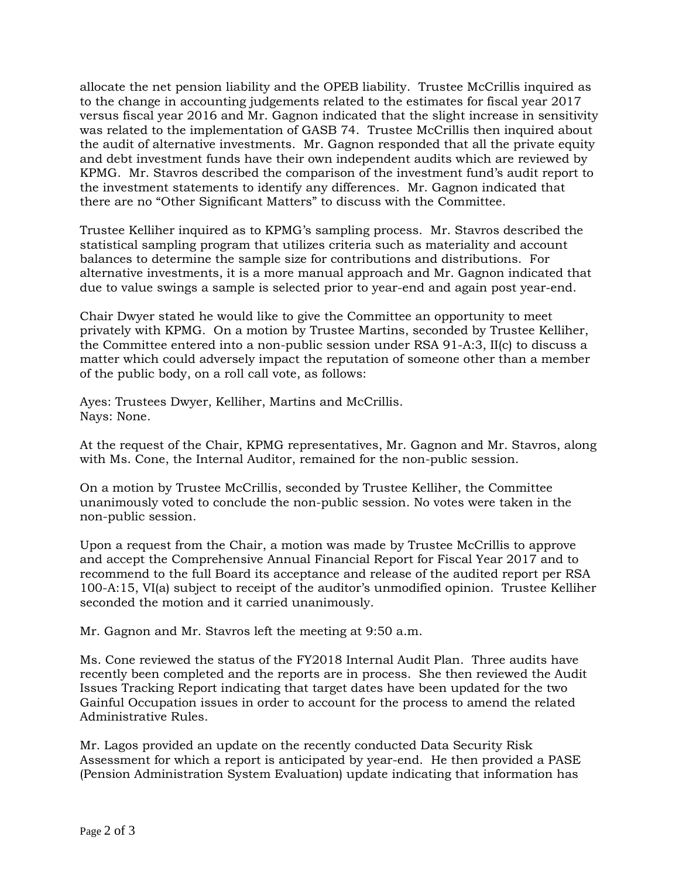allocate the net pension liability and the OPEB liability. Trustee McCrillis inquired as to the change in accounting judgements related to the estimates for fiscal year 2017 versus fiscal year 2016 and Mr. Gagnon indicated that the slight increase in sensitivity was related to the implementation of GASB 74. Trustee McCrillis then inquired about the audit of alternative investments. Mr. Gagnon responded that all the private equity and debt investment funds have their own independent audits which are reviewed by KPMG. Mr. Stavros described the comparison of the investment fund's audit report to the investment statements to identify any differences. Mr. Gagnon indicated that there are no "Other Significant Matters" to discuss with the Committee.

Trustee Kelliher inquired as to KPMG's sampling process. Mr. Stavros described the statistical sampling program that utilizes criteria such as materiality and account balances to determine the sample size for contributions and distributions. For alternative investments, it is a more manual approach and Mr. Gagnon indicated that due to value swings a sample is selected prior to year-end and again post year-end.

Chair Dwyer stated he would like to give the Committee an opportunity to meet privately with KPMG. On a motion by Trustee Martins, seconded by Trustee Kelliher, the Committee entered into a non-public session under RSA 91-A:3, II(c) to discuss a matter which could adversely impact the reputation of someone other than a member of the public body, on a roll call vote, as follows:

Ayes: Trustees Dwyer, Kelliher, Martins and McCrillis. Nays: None.

At the request of the Chair, KPMG representatives, Mr. Gagnon and Mr. Stavros, along with Ms. Cone, the Internal Auditor, remained for the non-public session.

On a motion by Trustee McCrillis, seconded by Trustee Kelliher, the Committee unanimously voted to conclude the non-public session. No votes were taken in the non-public session.

Upon a request from the Chair, a motion was made by Trustee McCrillis to approve and accept the Comprehensive Annual Financial Report for Fiscal Year 2017 and to recommend to the full Board its acceptance and release of the audited report per RSA 100-A:15, VI(a) subject to receipt of the auditor's unmodified opinion. Trustee Kelliher seconded the motion and it carried unanimously.

Mr. Gagnon and Mr. Stavros left the meeting at 9:50 a.m.

Ms. Cone reviewed the status of the FY2018 Internal Audit Plan. Three audits have recently been completed and the reports are in process. She then reviewed the Audit Issues Tracking Report indicating that target dates have been updated for the two Gainful Occupation issues in order to account for the process to amend the related Administrative Rules.

Mr. Lagos provided an update on the recently conducted Data Security Risk Assessment for which a report is anticipated by year-end. He then provided a PASE (Pension Administration System Evaluation) update indicating that information has